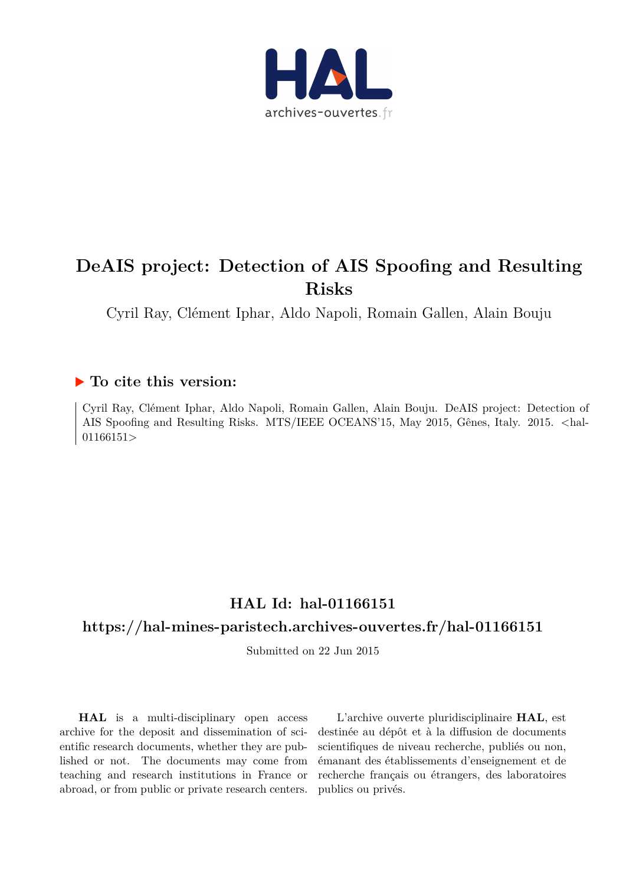

## **DeAIS project: Detection of AIS Spoofing and Resulting Risks**

Cyril Ray, Clément Iphar, Aldo Napoli, Romain Gallen, Alain Bouju

### **To cite this version:**

Cyril Ray, Clément Iphar, Aldo Napoli, Romain Gallen, Alain Bouju. DeAIS project: Detection of AIS Spoofing and Resulting Risks. MTS/IEEE OCEANS'15, May 2015, Gênes, Italy. 2015. <hal-01166151>

## **HAL Id: hal-01166151**

## **<https://hal-mines-paristech.archives-ouvertes.fr/hal-01166151>**

Submitted on 22 Jun 2015

**HAL** is a multi-disciplinary open access archive for the deposit and dissemination of scientific research documents, whether they are published or not. The documents may come from teaching and research institutions in France or abroad, or from public or private research centers.

L'archive ouverte pluridisciplinaire **HAL**, est destinée au dépôt et à la diffusion de documents scientifiques de niveau recherche, publiés ou non, émanant des établissements d'enseignement et de recherche français ou étrangers, des laboratoires publics ou privés.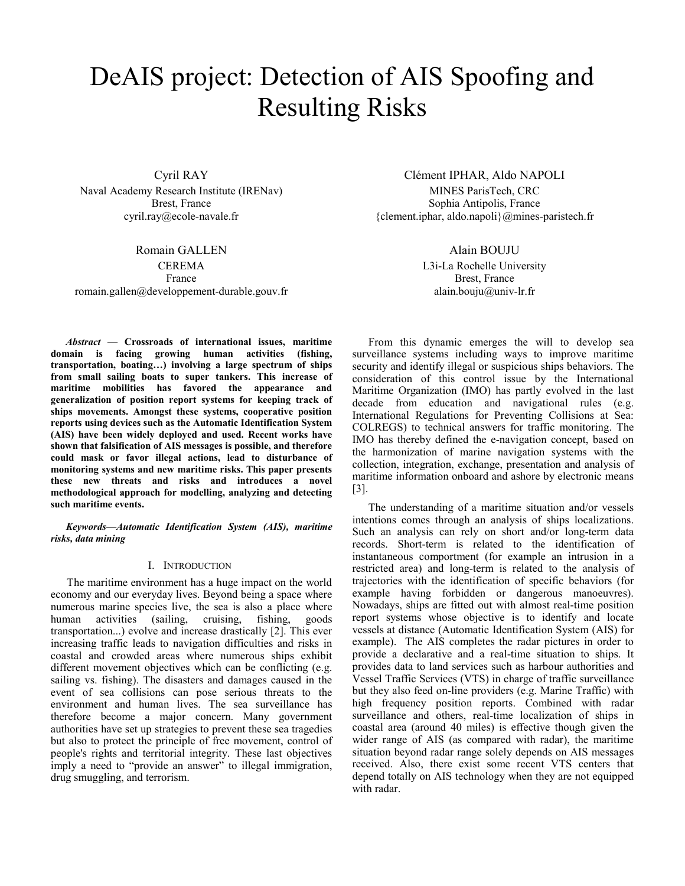# DeAIS project: Detection of AIS Spoofing and Resulting Risks

Cyril RAY Naval Academy Research Institute (IRENav) Brest, France cyril.ray@ecole-navale.fr

Romain GALLEN CEREMA France romain.gallen@developpement-durable.gouv.fr

*Abstract* **— Crossroads of international issues, maritime domain is facing growing human activities (fishing, transportation, boating…) involving a large spectrum of ships from small sailing boats to super tankers. This increase of maritime mobilities has favored the appearance and generalization of position report systems for keeping track of ships movements. Amongst these systems, cooperative position reports using devices such as the Automatic Identification System (AIS) have been widely deployed and used. Recent works have shown that falsification of AIS messages is possible, and therefore could mask or favor illegal actions, lead to disturbance of monitoring systems and new maritime risks. This paper presents these new threats and risks and introduces a novel methodological approach for modelling, analyzing and detecting such maritime events.** 

*Keywords—Automatic Identification System (AIS), maritime risks, data mining* 

#### I. INTRODUCTION

The maritime environment has a huge impact on the world economy and our everyday lives. Beyond being a space where numerous marine species live, the sea is also a place where human activities (sailing, cruising, fishing, goods transportation...) evolve and increase drastically [2]. This ever increasing traffic leads to navigation difficulties and risks in coastal and crowded areas where numerous ships exhibit different movement objectives which can be conflicting (e.g. sailing vs. fishing). The disasters and damages caused in the event of sea collisions can pose serious threats to the environment and human lives. The sea surveillance has therefore become a major concern. Many government authorities have set up strategies to prevent these sea tragedies but also to protect the principle of free movement, control of people's rights and territorial integrity. These last objectives imply a need to "provide an answer" to illegal immigration, drug smuggling, and terrorism.

Clément IPHAR, Aldo NAPOLI MINES ParisTech, CRC Sophia Antipolis, France {clement.iphar, aldo.napoli}@mines-paristech.fr

> Alain BOUJU L3i-La Rochelle University Brest, France alain.bouju@univ-lr.fr

From this dynamic emerges the will to develop sea surveillance systems including ways to improve maritime security and identify illegal or suspicious ships behaviors. The consideration of this control issue by the International Maritime Organization (IMO) has partly evolved in the last decade from education and navigational rules (e.g. International Regulations for Preventing Collisions at Sea: COLREGS) to technical answers for traffic monitoring. The IMO has thereby defined the e-navigation concept, based on the harmonization of marine navigation systems with the collection, integration, exchange, presentation and analysis of maritime information onboard and ashore by electronic means  $[3]$ .

The understanding of a maritime situation and/or vessels intentions comes through an analysis of ships localizations. Such an analysis can rely on short and/or long-term data records. Short-term is related to the identification of instantaneous comportment (for example an intrusion in a restricted area) and long-term is related to the analysis of trajectories with the identification of specific behaviors (for example having forbidden or dangerous manoeuvres). Nowadays, ships are fitted out with almost real-time position report systems whose objective is to identify and locate vessels at distance (Automatic Identification System (AIS) for example). The AIS completes the radar pictures in order to provide a declarative and a real-time situation to ships. It provides data to land services such as harbour authorities and Vessel Traffic Services (VTS) in charge of traffic surveillance but they also feed on-line providers (e.g. Marine Traffic) with high frequency position reports. Combined with radar surveillance and others, real-time localization of ships in coastal area (around 40 miles) is effective though given the wider range of AIS (as compared with radar), the maritime situation beyond radar range solely depends on AIS messages received. Also, there exist some recent VTS centers that depend totally on AIS technology when they are not equipped with radar.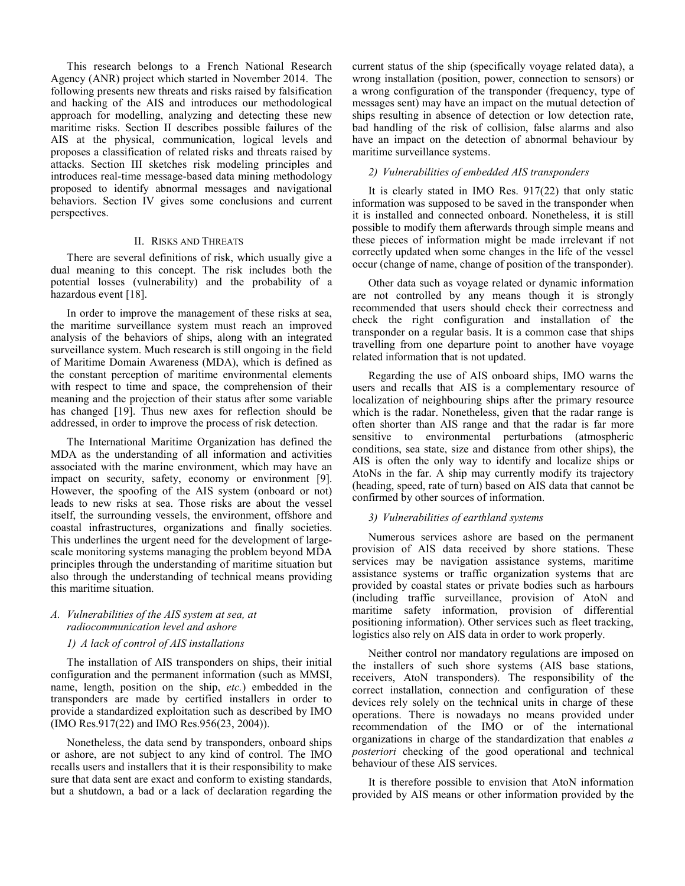This research belongs to a French National Research Agency (ANR) project which started in November 2014. The following presents new threats and risks raised by falsification and hacking of the AIS and introduces our methodological approach for modelling, analyzing and detecting these new maritime risks. Section II describes possible failures of the AIS at the physical, communication, logical levels and proposes a classification of related risks and threats raised by attacks. Section III sketches risk modeling principles and introduces real-time message-based data mining methodology proposed to identify abnormal messages and navigational behaviors. Section IV gives some conclusions and current perspectives.

#### II. RISKS AND THREATS

There are several definitions of risk, which usually give a dual meaning to this concept. The risk includes both the potential losses (vulnerability) and the probability of a hazardous event [18].

In order to improve the management of these risks at sea, the maritime surveillance system must reach an improved analysis of the behaviors of ships, along with an integrated surveillance system. Much research is still ongoing in the field of Maritime Domain Awareness (MDA), which is defined as the constant perception of maritime environmental elements with respect to time and space, the comprehension of their meaning and the projection of their status after some variable has changed [19]. Thus new axes for reflection should be addressed, in order to improve the process of risk detection.

The International Maritime Organization has defined the MDA as the understanding of all information and activities associated with the marine environment, which may have an impact on security, safety, economy or environment [9]. However, the spoofing of the AIS system (onboard or not) leads to new risks at sea. Those risks are about the vessel itself, the surrounding vessels, the environment, offshore and coastal infrastructures, organizations and finally societies. This underlines the urgent need for the development of largescale monitoring systems managing the problem beyond MDA principles through the understanding of maritime situation but also through the understanding of technical means providing this maritime situation.

#### *A. Vulnerabilities of the AIS system at sea, at radiocommunication level and ashore*

#### *1) A lack of control of AIS installations*

The installation of AIS transponders on ships, their initial configuration and the permanent information (such as MMSI, name, length, position on the ship, *etc.*) embedded in the transponders are made by certified installers in order to provide a standardized exploitation such as described by IMO (IMO Res.917(22) and IMO Res.956(23, 2004)).

Nonetheless, the data send by transponders, onboard ships or ashore, are not subject to any kind of control. The IMO recalls users and installers that it is their responsibility to make sure that data sent are exact and conform to existing standards, but a shutdown, a bad or a lack of declaration regarding the

current status of the ship (specifically voyage related data), a wrong installation (position, power, connection to sensors) or a wrong configuration of the transponder (frequency, type of messages sent) may have an impact on the mutual detection of ships resulting in absence of detection or low detection rate, bad handling of the risk of collision, false alarms and also have an impact on the detection of abnormal behaviour by maritime surveillance systems.

#### *2) Vulnerabilities of embedded AIS transponders*

It is clearly stated in IMO Res. 917(22) that only static information was supposed to be saved in the transponder when it is installed and connected onboard. Nonetheless, it is still possible to modify them afterwards through simple means and these pieces of information might be made irrelevant if not correctly updated when some changes in the life of the vessel occur (change of name, change of position of the transponder).

Other data such as voyage related or dynamic information are not controlled by any means though it is strongly recommended that users should check their correctness and check the right configuration and installation of the transponder on a regular basis. It is a common case that ships travelling from one departure point to another have voyage related information that is not updated.

Regarding the use of AIS onboard ships, IMO warns the users and recalls that AIS is a complementary resource of localization of neighbouring ships after the primary resource which is the radar. Nonetheless, given that the radar range is often shorter than AIS range and that the radar is far more sensitive to environmental perturbations (atmospheric conditions, sea state, size and distance from other ships), the AIS is often the only way to identify and localize ships or AtoNs in the far. A ship may currently modify its trajectory (heading, speed, rate of turn) based on AIS data that cannot be confirmed by other sources of information.

#### *3) Vulnerabilities of earthland systems*

Numerous services ashore are based on the permanent provision of AIS data received by shore stations. These services may be navigation assistance systems, maritime assistance systems or traffic organization systems that are provided by coastal states or private bodies such as harbours (including traffic surveillance, provision of AtoN and maritime safety information, provision of differential positioning information). Other services such as fleet tracking, logistics also rely on AIS data in order to work properly.

Neither control nor mandatory regulations are imposed on the installers of such shore systems (AIS base stations, receivers, AtoN transponders). The responsibility of the correct installation, connection and configuration of these devices rely solely on the technical units in charge of these operations. There is nowadays no means provided under recommendation of the IMO or of the international organizations in charge of the standardization that enables *a posteriori* checking of the good operational and technical behaviour of these AIS services.

It is therefore possible to envision that AtoN information provided by AIS means or other information provided by the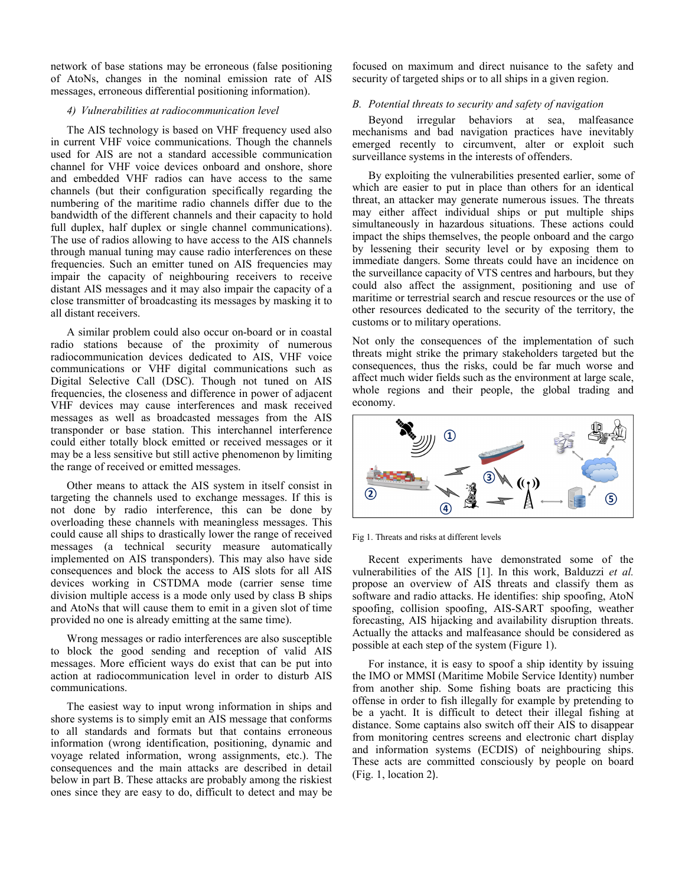network of base stations may be erroneous (false positioning of AtoNs, changes in the nominal emission rate of AIS messages, erroneous differential positioning information).

#### *4) Vulnerabilities at radiocommunication level*

The AIS technology is based on VHF frequency used also in current VHF voice communications. Though the channels used for AIS are not a standard accessible communication channel for VHF voice devices onboard and onshore, shore and embedded VHF radios can have access to the same channels (but their configuration specifically regarding the numbering of the maritime radio channels differ due to the bandwidth of the different channels and their capacity to hold full duplex, half duplex or single channel communications). The use of radios allowing to have access to the AIS channels through manual tuning may cause radio interferences on these frequencies. Such an emitter tuned on AIS frequencies may impair the capacity of neighbouring receivers to receive distant AIS messages and it may also impair the capacity of a close transmitter of broadcasting its messages by masking it to all distant receivers.

A similar problem could also occur on-board or in coastal radio stations because of the proximity of numerous radiocommunication devices dedicated to AIS, VHF voice communications or VHF digital communications such as Digital Selective Call (DSC). Though not tuned on AIS frequencies, the closeness and difference in power of adjacent VHF devices may cause interferences and mask received messages as well as broadcasted messages from the AIS transponder or base station. This interchannel interference could either totally block emitted or received messages or it may be a less sensitive but still active phenomenon by limiting the range of received or emitted messages.

Other means to attack the AIS system in itself consist in targeting the channels used to exchange messages. If this is not done by radio interference, this can be done by overloading these channels with meaningless messages. This could cause all ships to drastically lower the range of received messages (a technical security measure automatically implemented on AIS transponders). This may also have side consequences and block the access to AIS slots for all AIS devices working in CSTDMA mode (carrier sense time division multiple access is a mode only used by class B ships and AtoNs that will cause them to emit in a given slot of time provided no one is already emitting at the same time).

Wrong messages or radio interferences are also susceptible to block the good sending and reception of valid AIS messages. More efficient ways do exist that can be put into action at radiocommunication level in order to disturb AIS communications.

The easiest way to input wrong information in ships and shore systems is to simply emit an AIS message that conforms to all standards and formats but that contains erroneous information (wrong identification, positioning, dynamic and voyage related information, wrong assignments, etc.). The consequences and the main attacks are described in detail below in part B. These attacks are probably among the riskiest ones since they are easy to do, difficult to detect and may be

focused on maximum and direct nuisance to the safety and security of targeted ships or to all ships in a given region.

#### *B. Potential threats to security and safety of navigation*

Beyond irregular behaviors at sea, malfeasance mechanisms and bad navigation practices have inevitably emerged recently to circumvent, alter or exploit such surveillance systems in the interests of offenders.

By exploiting the vulnerabilities presented earlier, some of which are easier to put in place than others for an identical threat, an attacker may generate numerous issues. The threats may either affect individual ships or put multiple ships simultaneously in hazardous situations. These actions could impact the ships themselves, the people onboard and the cargo by lessening their security level or by exposing them to immediate dangers. Some threats could have an incidence on the surveillance capacity of VTS centres and harbours, but they could also affect the assignment, positioning and use of maritime or terrestrial search and rescue resources or the use of other resources dedicated to the security of the territory, the customs or to military operations.

Not only the consequences of the implementation of such threats might strike the primary stakeholders targeted but the consequences, thus the risks, could be far much worse and affect much wider fields such as the environment at large scale, whole regions and their people, the global trading and economy.



Fig 1. Threats and risks at different levels

Recent experiments have demonstrated some of the vulnerabilities of the AIS [1]. In this work, Balduzzi *et al.* propose an overview of AIS threats and classify them as software and radio attacks. He identifies: ship spoofing, AtoN spoofing, collision spoofing, AIS-SART spoofing, weather forecasting, AIS hijacking and availability disruption threats. Actually the attacks and malfeasance should be considered as possible at each step of the system (Figure 1).

For instance, it is easy to spoof a ship identity by issuing the IMO or MMSI (Maritime Mobile Service Identity) number from another ship. Some fishing boats are practicing this offense in order to fish illegally for example by pretending to be a yacht. It is difficult to detect their illegal fishing at distance. Some captains also switch off their AIS to disappear from monitoring centres screens and electronic chart display and information systems (ECDIS) of neighbouring ships. These acts are committed consciously by people on board (Fig. 1, location 2).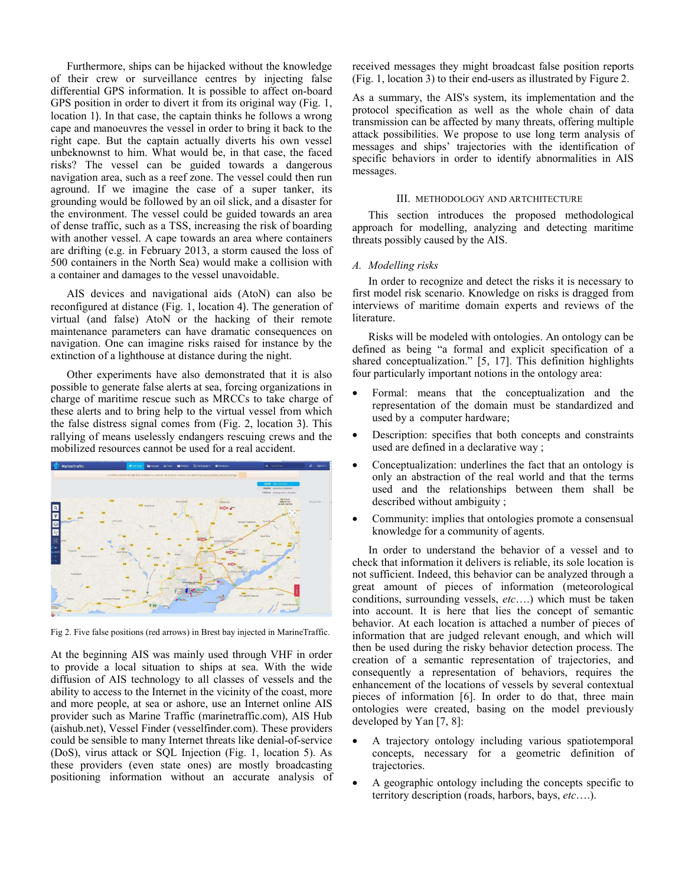Furthermore, ships can be hijacked without the knowledge of their crew or surveillance centres by injecting false differential GPS information. It is possible to affect on-board GPS position in order to divert it from its original way (Fig. 1, location 1). In that case, the captain thinks he follows a wrong cape and manoeuvres the vessel in order to bring it back to the right cape. But the captain actually diverts his own vessel unbeknownst to him. What would be, in that case, the faced risks? The vessel can be guided towards a dangerous navigation area, such as a reef zone. The vessel could then run aground. If we imagine the case of a super tanker, its grounding would be followed by an oil slick, and a disaster for the environment. The vessel could be guided towards an area of dense traffic, such as a TSS, increasing the risk of boarding with another vessel. A cape towards an area where containers are drifting (e.g. in February 2013, a storm caused the loss of 500 containers in the North Sea) would make a collision with a container and damages to the vessel unavoidable.

AIS devices and navigational aids (AtoN) can also be reconfigured at distance (Fig. 1, location 4). The generation of virtual (and false) AtoN or the hacking of their remote maintenance parameters can have dramatic consequences on navigation. One can imagine risks raised for instance by the extinction of a lighthouse at distance during the night.

Other experiments have also demonstrated that it is also possible to generate false alerts at sea, forcing organizations in charge of maritime rescue such as MRCCs to take charge of these alerts and to bring help to the virtual vessel from which the false distress signal comes from (Fig. 2, location 3). This rallying of means uselessly endangers rescuing crews and the mobilized resources cannot be used for a real accident.



Fig 2. Five false positions (red arrows) in Brest bay injected in MarineTraffic.

At the beginning AIS was mainly used through VHF in order to provide a local situation to ships at sea. With the wide diffusion of AIS technology to all classes of vessels and the ability to access to the Internet in the vicinity of the coast, more and more people, at sea or ashore, use an Internet online AIS provider such as Marine Traffic (marinetraffic.com), AIS Hub (aishub.net), Vessel Finder (vesselfinder.com). These providers could be sensible to many Internet threats like denial-of-service (DoS), virus attack or SQL Injection (Fig. 1, location 5). As these providers (even state ones) are mostly broadcasting positioning information without an accurate analysis of received messages they might broadcast false position reports (Fig. 1, location 3) to their end-users as illustrated by Figure 2.

As a summary, the AIS's system, its implementation and the protocol specification as well as the whole chain of data transmission can be affected by many threats, offering multiple attack possibilities. We propose to use long term analysis of messages and ships' trajectories with the identification of specific behaviors in order to identify abnormalities in AIS messages.

#### III. METHODOLOGY AND ARTCHITECTURE

This section introduces the proposed methodological approach for modelling, analyzing and detecting maritime threats possibly caused by the AIS.

#### *A. Modelling risks*

In order to recognize and detect the risks it is necessary to first model risk scenario. Knowledge on risks is dragged from interviews of maritime domain experts and reviews of the literature.

Risks will be modeled with ontologies. An ontology can be defined as being "a formal and explicit specification of a shared conceptualization." [5, 17]. This definition highlights four particularly important notions in the ontology area:

- Formal: means that the conceptualization and the representation of the domain must be standardized and used by a computer hardware;
- Description: specifies that both concepts and constraints used are defined in a declarative way ;
- Conceptualization: underlines the fact that an ontology is only an abstraction of the real world and that the terms used and the relationships between them shall be described without ambiguity ;
- Community: implies that ontologies promote a consensual knowledge for a community of agents.

In order to understand the behavior of a vessel and to check that information it delivers is reliable, its sole location is not sufficient. Indeed, this behavior can be analyzed through a great amount of pieces of information (meteorological conditions, surrounding vessels, *etc*….) which must be taken into account. It is here that lies the concept of semantic behavior. At each location is attached a number of pieces of information that are judged relevant enough, and which will then be used during the risky behavior detection process. The creation of a semantic representation of trajectories, and consequently a representation of behaviors, requires the enhancement of the locations of vessels by several contextual pieces of information [6]. In order to do that, three main ontologies were created, basing on the model previously developed by Yan [7, 8]:

- A trajectory ontology including various spatiotemporal concepts, necessary for a geometric definition of trajectories.
- A geographic ontology including the concepts specific to territory description (roads, harbors, bays, *etc*….).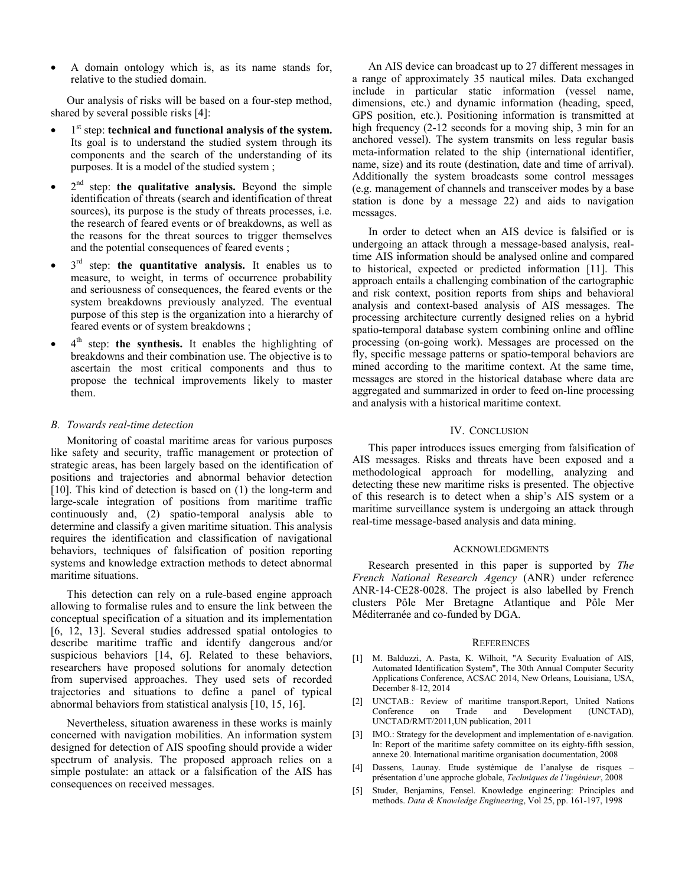• A domain ontology which is, as its name stands for, relative to the studied domain.

Our analysis of risks will be based on a four-step method, shared by several possible risks [4]:

- 1<sup>st</sup> step: **technical and functional analysis of the system.** Its goal is to understand the studied system through its components and the search of the understanding of its purposes. It is a model of the studied system ;
- 2<sup>nd</sup> step: **the qualitative analysis.** Beyond the simple identification of threats (search and identification of threat sources), its purpose is the study of threats processes, i.e. the research of feared events or of breakdowns, as well as the reasons for the threat sources to trigger themselves and the potential consequences of feared events ;
- 3<sup>rd</sup> step: **the quantitative analysis.** It enables us to measure, to weight, in terms of occurrence probability and seriousness of consequences, the feared events or the system breakdowns previously analyzed. The eventual purpose of this step is the organization into a hierarchy of feared events or of system breakdowns ;
- 4<sup>th</sup> step: **the synthesis.** It enables the highlighting of breakdowns and their combination use. The objective is to ascertain the most critical components and thus to propose the technical improvements likely to master them.

#### *B. Towards real-time detection*

Monitoring of coastal maritime areas for various purposes like safety and security, traffic management or protection of strategic areas, has been largely based on the identification of positions and trajectories and abnormal behavior detection [10]. This kind of detection is based on (1) the long-term and large-scale integration of positions from maritime traffic continuously and, (2) spatio-temporal analysis able to determine and classify a given maritime situation. This analysis requires the identification and classification of navigational behaviors, techniques of falsification of position reporting systems and knowledge extraction methods to detect abnormal maritime situations.

This detection can rely on a rule-based engine approach allowing to formalise rules and to ensure the link between the conceptual specification of a situation and its implementation [6, 12, 13]. Several studies addressed spatial ontologies to describe maritime traffic and identify dangerous and/or suspicious behaviors [14, 6]. Related to these behaviors, researchers have proposed solutions for anomaly detection from supervised approaches. They used sets of recorded trajectories and situations to define a panel of typical abnormal behaviors from statistical analysis [10, 15, 16].

Nevertheless, situation awareness in these works is mainly concerned with navigation mobilities. An information system designed for detection of AIS spoofing should provide a wider spectrum of analysis. The proposed approach relies on a simple postulate: an attack or a falsification of the AIS has consequences on received messages.

An AIS device can broadcast up to 27 different messages in a range of approximately 35 nautical miles. Data exchanged include in particular static information (vessel name, dimensions, etc.) and dynamic information (heading, speed, GPS position, etc.). Positioning information is transmitted at high frequency (2-12 seconds for a moving ship, 3 min for an anchored vessel). The system transmits on less regular basis meta-information related to the ship (international identifier, name, size) and its route (destination, date and time of arrival). Additionally the system broadcasts some control messages (e.g. management of channels and transceiver modes by a base station is done by a message 22) and aids to navigation messages.

In order to detect when an AIS device is falsified or is undergoing an attack through a message-based analysis, realtime AIS information should be analysed online and compared to historical, expected or predicted information [11]. This approach entails a challenging combination of the cartographic and risk context, position reports from ships and behavioral analysis and context-based analysis of AIS messages. The processing architecture currently designed relies on a hybrid spatio-temporal database system combining online and offline processing (on-going work). Messages are processed on the fly, specific message patterns or spatio-temporal behaviors are mined according to the maritime context. At the same time, messages are stored in the historical database where data are aggregated and summarized in order to feed on-line processing and analysis with a historical maritime context.

#### IV. CONCLUSION

This paper introduces issues emerging from falsification of AIS messages. Risks and threats have been exposed and a methodological approach for modelling, analyzing and detecting these new maritime risks is presented. The objective of this research is to detect when a ship's AIS system or a maritime surveillance system is undergoing an attack through real-time message-based analysis and data mining.

#### ACKNOWLEDGMENTS

Research presented in this paper is supported by *The French National Research Agency* (ANR) under reference ANR‐14‐CE28‐0028. The project is also labelled by French clusters Pôle Mer Bretagne Atlantique and Pôle Mer Méditerranée and co-funded by DGA.

#### **REFERENCES**

- [1] M. Balduzzi, A. Pasta, K. Wilhoit, "A Security Evaluation of AIS, Automated Identification System", The 30th Annual Computer Security Applications Conference, ACSAC 2014, New Orleans, Louisiana, USA, December 8-12, 2014
- [2] UNCTAB.: Review of maritime transport.Report, United Nations Conference on Trade and Development (UNCTAD), UNCTAD/RMT/2011,UN publication, 2011
- [3] IMO.: Strategy for the development and implementation of e-navigation. In: Report of the maritime safety committee on its eighty-fifth session, annexe 20. International maritime organisation documentation, 2008
- [4] Dassens, Launay. Etude systémique de l'analyse de risques présentation d'une approche globale, *Techniques de l'ingénieur*, 2008
- [5] Studer, Benjamins, Fensel. Knowledge engineering: Principles and methods. *Data & Knowledge Engineering*, Vol 25, pp. 161-197, 1998